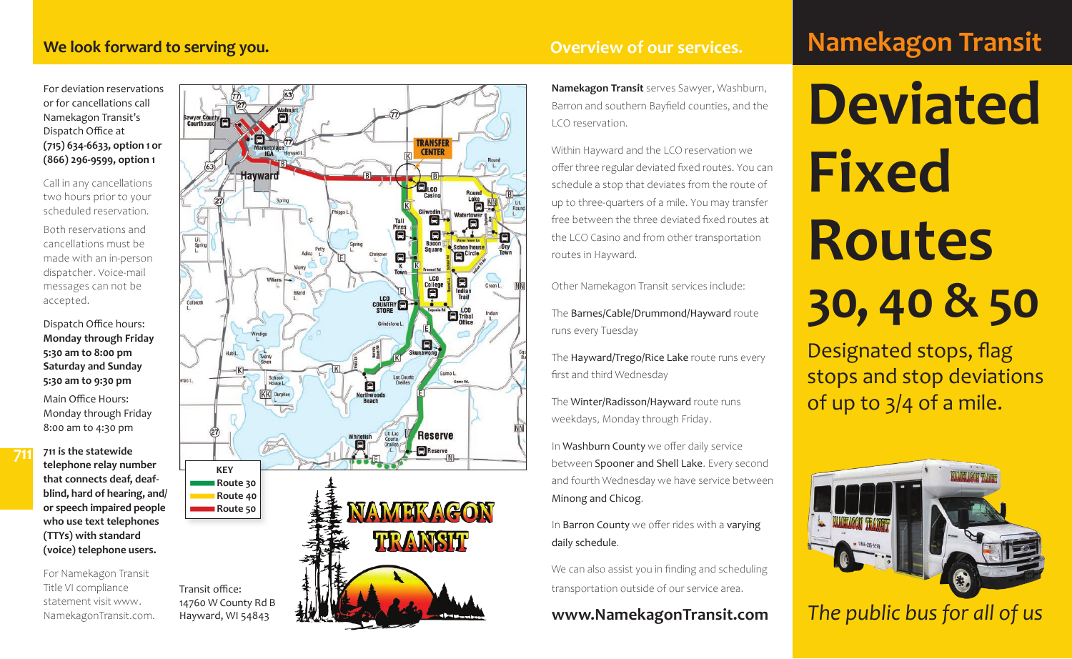#### **We look forward to serving you.** *Overview of our services.*

For deviation reservations or for cancellations call Namekagon Transit's Dispatch Office at **(715) 634-6633, option 1 or (866) 296-9599, option 1**

Call in any cancellations two hours prior to your scheduled reservation. Both reservations and cancellations must be made with an in-person dispatcher. Voice-mail messages can not be

Dispatch Office hours: **Monday through Friday 5:30 am to 8:00 pm Saturday and Sunday 5:30 am to 9:30 pm**

accepted.

**711**

Main Office Hours: Monday through Friday 8:00 am to 4:30 pm

**711 is the statewide telephone relay number that connects deaf, deafblind, hard of hearing, and/ or speech impaired people who use text telephones (TTYs) with standard (voice) telephone users.**

For Namekagon Transit Title VI compliance statement visit www. NamekagonTransit.com.

Hayward, WI 54843



**Namekagon Transit** serves Sawyer, Washburn, Barron and southern Bayfield counties, and the LCO reservation.

Within Hayward and the LCO reservation we offer three regular deviated fixed routes. You can schedule a stop that deviates from the route of up to three-quarters of a mile. You may transfer free between the three deviated fixed routes at the LCO Casino and from other transportation routes in Hayward.

Other Namekagon Transit services include:

The Barnes/Cable/Drummond/Hayward route runs every Tuesday

The Hayward/Trego/Rice Lake route runs every first and third Wednesday

The Winter/Radisson/Hayward route runs weekdays, Monday through Friday.

In Washburn County we offer daily service between Spooner and Shell Lake. Every second and fourth Wednesday we have service between Minong and Chicog .

In Barron County we offer rides with a varying daily schedule.

We can also assist you in finding and scheduling transportation outside of our service area.

### **www.NamekagonTransit.com**

# **Namekagon Transit**

**Deviated Fixed Routes 30, 40 & 50**

Designated stops, flag stops and stop deviations of up to 3/4 of a mile.